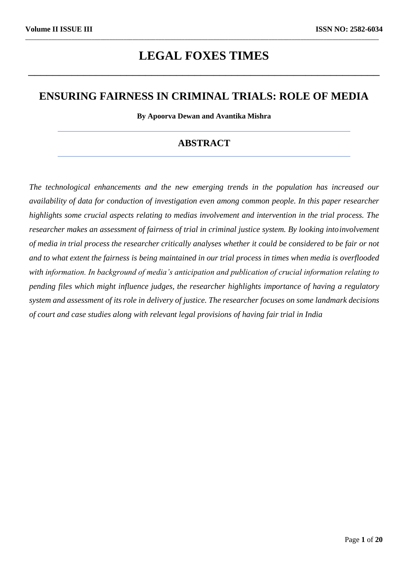# **LEGAL FOXES TIMES**

\_\_\_\_\_\_\_\_\_\_\_\_\_\_\_\_\_\_\_\_\_\_\_\_\_\_\_\_\_\_\_\_\_\_\_\_\_\_\_\_\_\_\_\_\_\_\_\_\_\_\_\_\_\_\_\_\_

\_\_\_\_\_\_\_\_\_\_\_\_\_\_\_\_\_\_\_\_\_\_\_\_\_\_\_\_\_\_\_\_\_\_\_\_\_\_\_\_\_\_\_\_\_\_\_\_\_\_\_\_\_\_\_\_\_\_\_\_\_\_\_\_\_\_\_\_\_\_\_\_\_\_\_\_\_\_\_\_\_\_\_\_\_\_\_\_\_\_\_\_\_\_\_\_\_\_\_\_\_\_\_\_\_\_\_\_\_\_\_\_\_\_\_\_\_\_\_\_\_\_

# **ENSURING FAIRNESS IN CRIMINAL TRIALS: ROLE OF MEDIA**

**By Apoorva Dewan and Avantika Mishra**

# **ABSTRACT**

*The technological enhancements and the new emerging trends in the population has increased our availability of data for conduction of investigation even among common people. In this paper researcher highlights some crucial aspects relating to medias involvement and intervention in the trial process. The researcher makes an assessment of fairness of trial in criminal justice system. By looking intoinvolvement of media in trial process the researcher critically analyses whether it could be considered to be fair or not*  and to what extent the fairness is being maintained in our trial process in times when media is overflooded *with information. In background of media's anticipation and publication of crucial information relating to pending files which might influence judges, the researcher highlights importance of having a regulatory*  system and assessment of its role in delivery of justice. The researcher focuses on some landmark decisions *of court and case studies along with relevant legal provisions of having fair trial in India*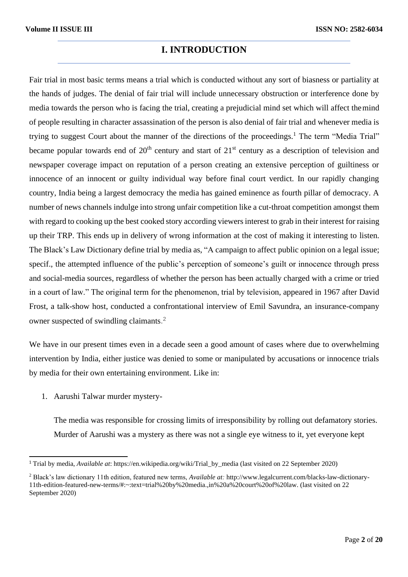### **I. INTRODUCTION**

Fair trial in most basic terms means a trial which is conducted without any sort of biasness or partiality at the hands of judges. The denial of fair trial will include unnecessary obstruction or interference done by media towards the person who is facing the trial, creating a prejudicial mind set which will affect themind of people resulting in character assassination of the person is also denial of fair trial and whenever media is trying to suggest Court about the manner of the directions of the proceedings.<sup>1</sup> The term "Media Trial" became popular towards end of  $20<sup>th</sup>$  century and start of  $21<sup>st</sup>$  century as a description of television and newspaper coverage impact on reputation of a person creating an extensive perception of guiltiness or innocence of an innocent or guilty individual way before final court verdict. In our rapidly changing country, India being a largest democracy the media has gained eminence as fourth pillar of democracy. A number of news channels indulge into strong unfair competition like a cut-throat competition amongst them with regard to cooking up the best cooked story according viewers interest to grab in their interest for raising up their TRP. This ends up in delivery of wrong information at the cost of making it interesting to listen. The Black's Law Dictionary define trial by media as, "A campaign to affect public opinion on a legal issue; specif., the attempted influence of the public's perception of someone's guilt or innocence through press and social-media sources, regardless of whether the person has been actually charged with a crime or tried in a court of law." The original term for the phenomenon, trial by television, appeared in 1967 after David Frost, a talk-show host, conducted a confrontational interview of Emil Savundra, an insurance-company owner suspected of swindling claimants.<sup>2</sup>

We have in our present times even in a decade seen a good amount of cases where due to overwhelming intervention by India, either justice was denied to some or manipulated by accusations or innocence trials by media for their own entertaining environment. Like in:

1. Aarushi Talwar murder mystery-

The media was responsible for crossing limits of irresponsibility by rolling out defamatory stories. Murder of Aarushi was a mystery as there was not a single eye witness to it, yet everyone kept

<sup>1</sup> Trial by media, *Available at*: https://en.wikipedia.org/wiki/Trial\_by\_media (last visited on 22 September 2020)

<sup>2</sup> Black's law dictionary 11th edition, featured new terms, *Available at:* <http://www.legalcurrent.com/blacks-law-dictionary->11th-edition-featured-new-terms/#:~:text=trial%20by%20media.,in%20a%20court%20of%20law. (last visited on 22 September 2020)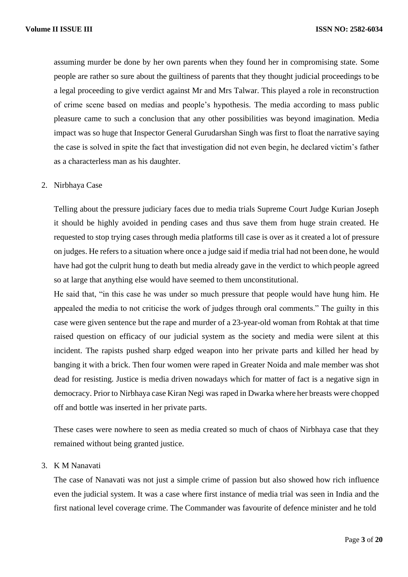assuming murder be done by her own parents when they found her in compromising state. Some people are rather so sure about the guiltiness of parents that they thought judicial proceedings to be a legal proceeding to give verdict against Mr and Mrs Talwar. This played a role in reconstruction of crime scene based on medias and people's hypothesis. The media according to mass public pleasure came to such a conclusion that any other possibilities was beyond imagination. Media impact was so huge that Inspector General Gurudarshan Singh was first to float the narrative saying the case is solved in spite the fact that investigation did not even begin, he declared victim's father as a characterless man as his daughter.

#### 2. Nirbhaya Case

Telling about the pressure judiciary faces due to media trials Supreme Court Judge Kurian Joseph it should be highly avoided in pending cases and thus save them from huge strain created. He requested to stop trying cases through media platforms till case is over as it created a lot of pressure on judges. He refers to a situation where once a judge said if media trial had not been done, he would have had got the culprit hung to death but media already gave in the verdict to which people agreed so at large that anything else would have seemed to them unconstitutional.

He said that, "in this case he was under so much pressure that people would have hung him. He appealed the media to not criticise the work of judges through oral comments." The guilty in this case were given sentence but the rape and murder of a 23-year-old woman from Rohtak at that time raised question on efficacy of our judicial system as the society and media were silent at this incident. The rapists pushed sharp edged weapon into her private parts and killed her head by banging it with a brick. Then four women were raped in Greater Noida and male member was shot dead for resisting. Justice is media driven nowadays which for matter of fact is a negative sign in democracy. Prior to Nirbhaya case Kiran Negi was raped in Dwarka where her breasts were chopped off and bottle was inserted in her private parts.

These cases were nowhere to seen as media created so much of chaos of Nirbhaya case that they remained without being granted justice.

#### 3. K M Nanavati

The case of Nanavati was not just a simple crime of passion but also showed how rich influence even the judicial system. It was a case where first instance of media trial was seen in India and the first national level coverage crime. The Commander was favourite of defence minister and he told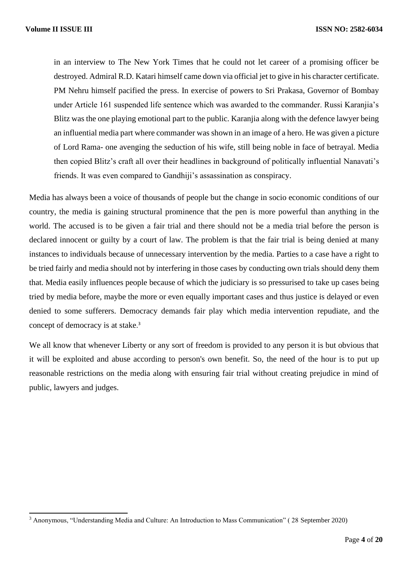in an interview to The New York Times that he could not let career of a promising officer be destroyed. Admiral R.D. Katari himself came down via official jet to give in his character certificate. PM Nehru himself pacified the press. In exercise of powers to Sri Prakasa, Governor of Bombay under Article 161 suspended life sentence which was awarded to the commander. Russi Karanjia's Blitz was the one playing emotional part to the public. Karanjia along with the defence lawyer being an influential media part where commander was shown in an image of a hero. He was given a picture of Lord Rama- one avenging the seduction of his wife, still being noble in face of betrayal. Media then copied Blitz's craft all over their headlines in background of politically influential Nanavati's friends. It was even compared to Gandhiji's assassination as conspiracy.

Media has always been a voice of thousands of people but the change in socio economic conditions of our country, the media is gaining structural prominence that the pen is more powerful than anything in the world. The accused is to be given a fair trial and there should not be a media trial before the person is declared innocent or guilty by a court of law. The problem is that the fair trial is being denied at many instances to individuals because of unnecessary intervention by the media. Parties to a case have a right to be tried fairly and media should not by interfering in those cases by conducting own trials should deny them that. Media easily influences people because of which the judiciary is so pressurised to take up cases being tried by media before, maybe the more or even equally important cases and thus justice is delayed or even denied to some sufferers. Democracy demands fair play which media intervention repudiate, and the concept of democracy is at stake. 3

We all know that whenever Liberty or any sort of freedom is provided to any person it is but obvious that it will be exploited and abuse according to person's own benefit. So, the need of the hour is to put up reasonable restrictions on the media along with ensuring fair trial without creating prejudice in mind of public, lawyers and judges.

<sup>3</sup> Anonymous, "Understanding Media and Culture: An Introduction to Mass Communication" ( 28 September 2020)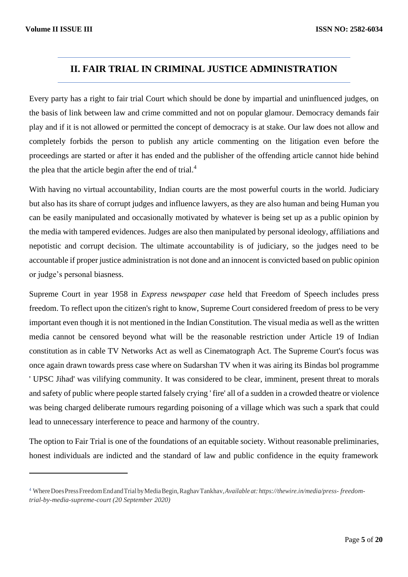## **II. FAIR TRIAL IN CRIMINAL JUSTICE ADMINISTRATION**

Every party has a right to fair trial Court which should be done by impartial and uninfluenced judges, on the basis of link between law and crime committed and not on popular glamour. Democracy demands fair play and if it is not allowed or permitted the concept of democracy is at stake. Our law does not allow and completely forbids the person to publish any article commenting on the litigation even before the proceedings are started or after it has ended and the publisher of the offending article cannot hide behind the plea that the article begin after the end of trial.<sup>4</sup>

With having no virtual accountability, Indian courts are the most powerful courts in the world. Judiciary but also has its share of corrupt judges and influence lawyers, as they are also human and being Human you can be easily manipulated and occasionally motivated by whatever is being set up as a public opinion by the media with tampered evidences. Judges are also then manipulated by personal ideology, affiliations and nepotistic and corrupt decision. The ultimate accountability is of judiciary, so the judges need to be accountable if proper justice administration is not done and an innocent is convicted based on public opinion or judge's personal biasness.

Supreme Court in year 1958 in *Express newspaper case* held that Freedom of Speech includes press freedom. To reflect upon the citizen's right to know, Supreme Court considered freedom of press to be very important even though it is not mentioned in the Indian Constitution. The visual media as well as the written media cannot be censored beyond what will be the reasonable restriction under Article 19 of Indian constitution as in cable TV Networks Act as well as Cinematograph Act. The Supreme Court's focus was once again drawn towards press case where on Sudarshan TV when it was airing its Bindas bol programme ' UPSC Jihad' was vilifying community. It was considered to be clear, imminent, present threat to morals and safety of public where people started falsely crying ' fire' all of a sudden in a crowded theatre or violence was being charged deliberate rumours regarding poisoning of a village which was such a spark that could lead to unnecessary interference to peace and harmony of the country.

The option to Fair Trial is one of the foundations of an equitable society. Without reasonable preliminaries, honest individuals are indicted and the standard of law and public confidence in the equity framework

<sup>4</sup> WhereDoesPressFreedomEndandTrialbyMediaBegin,RaghavTankhav,*Available at: https://thewire.in/media/press- freedomtrial-by-media-supreme-court (20 September 2020)*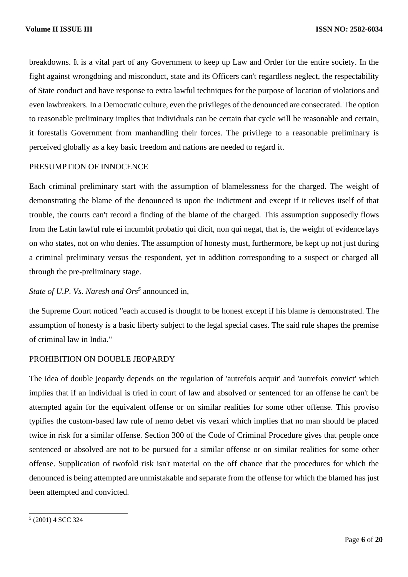breakdowns. It is a vital part of any Government to keep up Law and Order for the entire society. In the fight against wrongdoing and misconduct, state and its Officers can't regardless neglect, the respectability of State conduct and have response to extra lawful techniques for the purpose of location of violations and even lawbreakers. In a Democratic culture, even the privileges of the denounced are consecrated. The option to reasonable preliminary implies that individuals can be certain that cycle will be reasonable and certain, it forestalls Government from manhandling their forces. The privilege to a reasonable preliminary is perceived globally as a key basic freedom and nations are needed to regard it.

#### PRESUMPTION OF INNOCENCE

Each criminal preliminary start with the assumption of blamelessness for the charged. The weight of demonstrating the blame of the denounced is upon the indictment and except if it relieves itself of that trouble, the courts can't record a finding of the blame of the charged. This assumption supposedly flows from the Latin lawful rule ei incumbit probatio qui dicit, non qui negat, that is, the weight of evidence lays on who states, not on who denies. The assumption of honesty must, furthermore, be kept up not just during a criminal preliminary versus the respondent, yet in addition corresponding to a suspect or charged all through the pre-preliminary stage.

*State of U.P. Vs. Naresh and Ors<sup>5</sup>* announced in,

the Supreme Court noticed "each accused is thought to be honest except if his blame is demonstrated. The assumption of honesty is a basic liberty subject to the legal special cases. The said rule shapes the premise of criminal law in India."

#### PROHIBITION ON DOUBLE JEOPARDY

The idea of double jeopardy depends on the regulation of 'autrefois acquit' and 'autrefois convict' which implies that if an individual is tried in court of law and absolved or sentenced for an offense he can't be attempted again for the equivalent offense or on similar realities for some other offense. This proviso typifies the custom-based law rule of nemo debet vis vexari which implies that no man should be placed twice in risk for a similar offense. Section 300 of the Code of Criminal Procedure gives that people once sentenced or absolved are not to be pursued for a similar offense or on similar realities for some other offense. Supplication of twofold risk isn't material on the off chance that the procedures for which the denounced is being attempted are unmistakable and separate from the offense for which the blamed has just been attempted and convicted.

<sup>5</sup> (2001) 4 SCC 324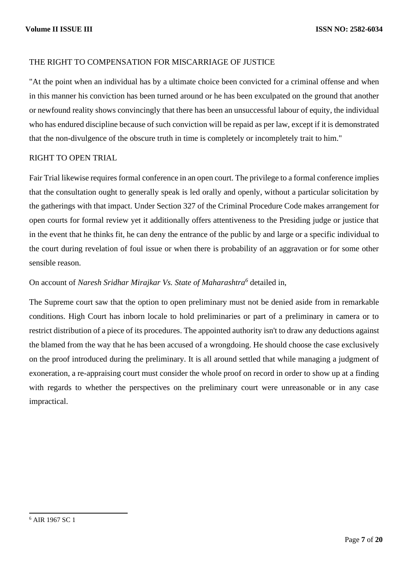#### THE RIGHT TO COMPENSATION FOR MISCARRIAGE OF JUSTICE

"At the point when an individual has by a ultimate choice been convicted for a criminal offense and when in this manner his conviction has been turned around or he has been exculpated on the ground that another or newfound reality shows convincingly that there has been an unsuccessful labour of equity, the individual who has endured discipline because of such conviction will be repaid as per law, except if it is demonstrated that the non-divulgence of the obscure truth in time is completely or incompletely trait to him."

#### RIGHT TO OPEN TRIAL

Fair Trial likewise requires formal conference in an open court. The privilege to a formal conference implies that the consultation ought to generally speak is led orally and openly, without a particular solicitation by the gatherings with that impact. Under Section 327 of the Criminal Procedure Code makes arrangement for open courts for formal review yet it additionally offers attentiveness to the Presiding judge or justice that in the event that he thinks fit, he can deny the entrance of the public by and large or a specific individual to the court during revelation of foul issue or when there is probability of an aggravation or for some other sensible reason.

#### On account of *Naresh Sridhar Mirajkar Vs. State of Maharashtra<sup>6</sup>* detailed in,

The Supreme court saw that the option to open preliminary must not be denied aside from in remarkable conditions. High Court has inborn locale to hold preliminaries or part of a preliminary in camera or to restrict distribution of a piece of its procedures. The appointed authority isn't to draw any deductions against the blamed from the way that he has been accused of a wrongdoing. He should choose the case exclusively on the proof introduced during the preliminary. It is all around settled that while managing a judgment of exoneration, a re-appraising court must consider the whole proof on record in order to show up at a finding with regards to whether the perspectives on the preliminary court were unreasonable or in any case impractical.

<sup>6</sup> AIR 1967 SC 1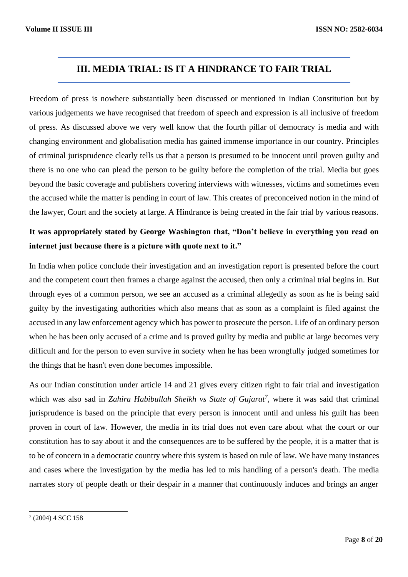### **III. MEDIA TRIAL: IS IT A HINDRANCE TO FAIR TRIAL**

Freedom of press is nowhere substantially been discussed or mentioned in Indian Constitution but by various judgements we have recognised that freedom of speech and expression is all inclusive of freedom of press. As discussed above we very well know that the fourth pillar of democracy is media and with changing environment and globalisation media has gained immense importance in our country. Principles of criminal jurisprudence clearly tells us that a person is presumed to be innocent until proven guilty and there is no one who can plead the person to be guilty before the completion of the trial. Media but goes beyond the basic coverage and publishers covering interviews with witnesses, victims and sometimes even the accused while the matter is pending in court of law. This creates of preconceived notion in the mind of the lawyer, Court and the society at large. A Hindrance is being created in the fair trial by various reasons.

# **It was appropriately stated by George Washington that, "Don't believe in everything you read on internet just because there is a picture with quote next to it."**

In India when police conclude their investigation and an investigation report is presented before the court and the competent court then frames a charge against the accused, then only a criminal trial begins in. But through eyes of a common person, we see an accused as a criminal allegedly as soon as he is being said guilty by the investigating authorities which also means that as soon as a complaint is filed against the accused in any law enforcement agency which has power to prosecute the person. Life of an ordinary person when he has been only accused of a crime and is proved guilty by media and public at large becomes very difficult and for the person to even survive in society when he has been wrongfully judged sometimes for the things that he hasn't even done becomes impossible.

As our Indian constitution under article 14 and 21 gives every citizen right to fair trial and investigation which was also sad in *Zahira Habibullah Sheikh vs State of Gujarat<sup>7</sup>*, where it was said that criminal jurisprudence is based on the principle that every person is innocent until and unless his guilt has been proven in court of law. However, the media in its trial does not even care about what the court or our constitution has to say about it and the consequences are to be suffered by the people, it is a matter that is to be of concern in a democratic country where this system is based on rule of law. We have many instances and cases where the investigation by the media has led to mis handling of a person's death. The media narrates story of people death or their despair in a manner that continuously induces and brings an anger

 $7(2004)$  4 SCC 158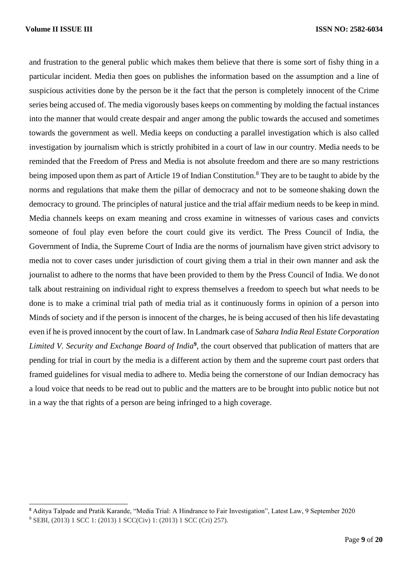and frustration to the general public which makes them believe that there is some sort of fishy thing in a particular incident. Media then goes on publishes the information based on the assumption and a line of suspicious activities done by the person be it the fact that the person is completely innocent of the Crime series being accused of. The media vigorously bases keeps on commenting by molding the factual instances into the manner that would create despair and anger among the public towards the accused and sometimes towards the government as well. Media keeps on conducting a parallel investigation which is also called investigation by journalism which is strictly prohibited in a court of law in our country. Media needs to be reminded that the Freedom of Press and Media is not absolute freedom and there are so many restrictions being imposed upon them as part of Article 19 of Indian Constitution.<sup>8</sup> They are to be taught to abide by the norms and regulations that make them the pillar of democracy and not to be someone shaking down the democracy to ground. The principles of natural justice and the trial affair medium needs to be keep in mind. Media channels keeps on exam meaning and cross examine in witnesses of various cases and convicts someone of foul play even before the court could give its verdict. The Press Council of India, the Government of India, the Supreme Court of India are the norms of journalism have given strict advisory to media not to cover cases under jurisdiction of court giving them a trial in their own manner and ask the journalist to adhere to the norms that have been provided to them by the Press Council of India. We donot talk about restraining on individual right to express themselves a freedom to speech but what needs to be done is to make a criminal trial path of media trial as it continuously forms in opinion of a person into Minds of society and if the person is innocent of the charges, he is being accused of then his life devastating even if he is proved innocent by the court of law. In Landmark case of *Sahara India Real Estate Corporation*  Limited V. Security and Exchange Board of India<sup>9</sup>, the court observed that publication of matters that are pending for trial in court by the media is a different action by them and the supreme court past orders that framed guidelines for visual media to adhere to. Media being the cornerstone of our Indian democracy has a loud voice that needs to be read out to public and the matters are to be brought into public notice but not in a way the that rights of a person are being infringed to a high coverage.

<sup>8</sup> Aditya Talpade and Pratik Karande, "Media Trial: A Hindrance to Fair Investigation", Latest Law, 9 September 2020 <sup>9</sup> SEBI, (2013) 1 SCC 1: (2013) 1 SCC(Civ) 1: (2013) 1 SCC (Cri) 257).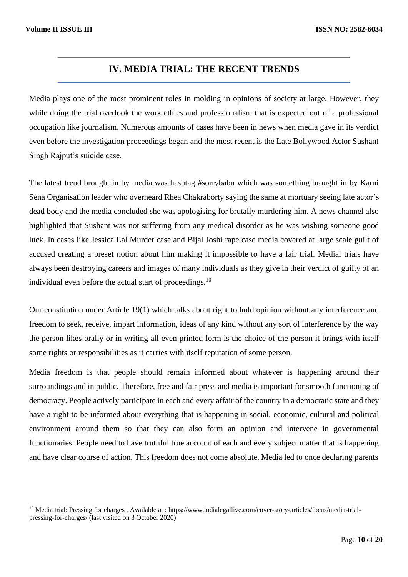### **IV. MEDIA TRIAL: THE RECENT TRENDS**

Media plays one of the most prominent roles in molding in opinions of society at large. However, they while doing the trial overlook the work ethics and professionalism that is expected out of a professional occupation like journalism. Numerous amounts of cases have been in news when media gave in its verdict even before the investigation proceedings began and the most recent is the Late Bollywood Actor Sushant Singh Rajput's suicide case.

The latest trend brought in by media was hashtag #sorrybabu which was something brought in by Karni Sena Organisation leader who overheard Rhea Chakraborty saying the same at mortuary seeing late actor's dead body and the media concluded she was apologising for brutally murdering him. A news channel also highlighted that Sushant was not suffering from any medical disorder as he was wishing someone good luck. In cases like Jessica Lal Murder case and Bijal Joshi rape case media covered at large scale guilt of accused creating a preset notion about him making it impossible to have a fair trial. Medial trials have always been destroying careers and images of many individuals as they give in their verdict of guilty of an individual even before the actual start of proceedings.<sup>10</sup>

Our constitution under Article 19(1) which talks about right to hold opinion without any interference and freedom to seek, receive, impart information, ideas of any kind without any sort of interference by the way the person likes orally or in writing all even printed form is the choice of the person it brings with itself some rights or responsibilities as it carries with itself reputation of some person.

Media freedom is that people should remain informed about whatever is happening around their surroundings and in public. Therefore, free and fair press and media is important for smooth functioning of democracy. People actively participate in each and every affair of the country in a democratic state and they have a right to be informed about everything that is happening in social, economic, cultural and political environment around them so that they can also form an opinion and intervene in governmental functionaries. People need to have truthful true account of each and every subject matter that is happening and have clear course of action. This freedom does not come absolute. Media led to once declaring parents

<sup>&</sup>lt;sup>10</sup> Media trial: Pressing for charges, Available at : https[://www.indialegallive.com/cover-story-articles/focus/media-trial](http://www.indialegallive.com/cover-story-articles/focus/media-trial-)pressing-for-charges/ (last visited on 3 October 2020)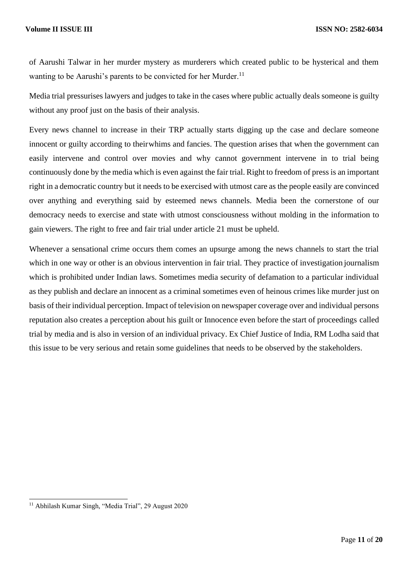of Aarushi Talwar in her murder mystery as murderers which created public to be hysterical and them wanting to be Aarushi's parents to be convicted for her Murder.<sup>11</sup>

Media trial pressurises lawyers and judges to take in the cases where public actually deals someone is guilty without any proof just on the basis of their analysis.

Every news channel to increase in their TRP actually starts digging up the case and declare someone innocent or guilty according to theirwhims and fancies. The question arises that when the government can easily intervene and control over movies and why cannot government intervene in to trial being continuously done by the media which is even against the fair trial. Right to freedom of press is an important right in a democratic country but it needs to be exercised with utmost care as the people easily are convinced over anything and everything said by esteemed news channels. Media been the cornerstone of our democracy needs to exercise and state with utmost consciousness without molding in the information to gain viewers. The right to free and fair trial under article 21 must be upheld.

Whenever a sensational crime occurs them comes an upsurge among the news channels to start the trial which in one way or other is an obvious intervention in fair trial. They practice of investigation journalism which is prohibited under Indian laws. Sometimes media security of defamation to a particular individual as they publish and declare an innocent as a criminal sometimes even of heinous crimes like murder just on basis of their individual perception. Impact of television on newspaper coverage over and individual persons reputation also creates a perception about his guilt or Innocence even before the start of proceedings called trial by media and is also in version of an individual privacy. Ex Chief Justice of India, RM Lodha said that this issue to be very serious and retain some guidelines that needs to be observed by the stakeholders.

<sup>11</sup> Abhilash Kumar Singh, "Media Trial", 29 August 2020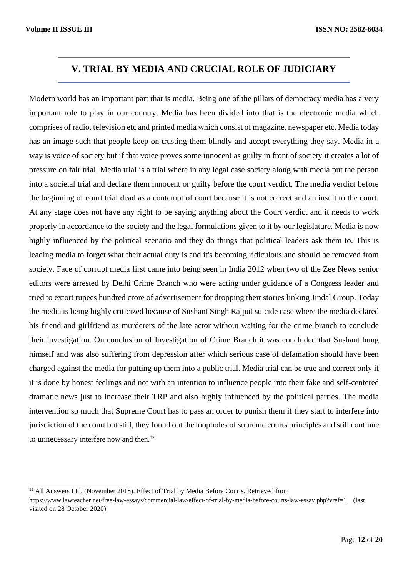# **V. TRIAL BY MEDIA AND CRUCIAL ROLE OF JUDICIARY**

Modern world has an important part that is media. Being one of the pillars of democracy media has a very important role to play in our country. Media has been divided into that is the electronic media which comprises of radio, television etc and printed media which consist of magazine, newspaper etc. Media today has an image such that people keep on trusting them blindly and accept everything they say. Media in a way is voice of society but if that voice proves some innocent as guilty in front of society it creates a lot of pressure on fair trial. Media trial is a trial where in any legal case society along with media put the person into a societal trial and declare them innocent or guilty before the court verdict. The media verdict before the beginning of court trial dead as a contempt of court because it is not correct and an insult to the court. At any stage does not have any right to be saying anything about the Court verdict and it needs to work properly in accordance to the society and the legal formulations given to it by our legislature. Media is now highly influenced by the political scenario and they do things that political leaders ask them to. This is leading media to forget what their actual duty is and it's becoming ridiculous and should be removed from society. Face of corrupt media first came into being seen in India 2012 when two of the Zee News senior editors were arrested by Delhi Crime Branch who were acting under guidance of a Congress leader and tried to extort rupees hundred crore of advertisement for dropping their stories linking Jindal Group. Today the media is being highly criticized because of Sushant Singh Rajput suicide case where the media declared his friend and girlfriend as murderers of the late actor without waiting for the crime branch to conclude their investigation. On conclusion of Investigation of Crime Branch it was concluded that Sushant hung himself and was also suffering from depression after which serious case of defamation should have been charged against the media for putting up them into a public trial. Media trial can be true and correct only if it is done by honest feelings and not with an intention to influence people into their fake and self-centered dramatic news just to increase their TRP and also highly influenced by the political parties. The media intervention so much that Supreme Court has to pass an order to punish them if they start to interfere into jurisdiction of the court but still, they found out the loopholes of supreme courts principles and still continue to unnecessary interfere now and then.<sup>12</sup>

<sup>12</sup> All Answers Ltd. (November 2018). Effect of Trial by Media Before Courts. Retrieved from

https[://www.lawteacher.net/free-law-essays/commercial-law/effect-of-trial-by-media-before-courts-law-essay.php?vref=1](http://www.lawteacher.net/free-law-essays/commercial-law/effect-of-trial-by-media-before-courts-law-essay.php?vref=1) (last visited on 28 October 2020)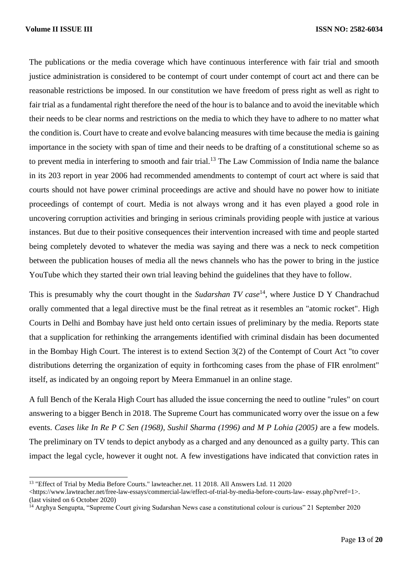The publications or the media coverage which have continuous interference with fair trial and smooth justice administration is considered to be contempt of court under contempt of court act and there can be reasonable restrictions be imposed. In our constitution we have freedom of press right as well as right to fair trial as a fundamental right therefore the need of the hour is to balance and to avoid the inevitable which their needs to be clear norms and restrictions on the media to which they have to adhere to no matter what the condition is. Court have to create and evolve balancing measures with time because the media is gaining importance in the society with span of time and their needs to be drafting of a constitutional scheme so as to prevent media in interfering to smooth and fair trial.<sup>13</sup> The Law Commission of India name the balance in its 203 report in year 2006 had recommended amendments to contempt of court act where is said that courts should not have power criminal proceedings are active and should have no power how to initiate proceedings of contempt of court. Media is not always wrong and it has even played a good role in uncovering corruption activities and bringing in serious criminals providing people with justice at various instances. But due to their positive consequences their intervention increased with time and people started being completely devoted to whatever the media was saying and there was a neck to neck competition between the publication houses of media all the news channels who has the power to bring in the justice YouTube which they started their own trial leaving behind the guidelines that they have to follow.

This is presumably why the court thought in the *Sudarshan TV case*<sup>14</sup>, where Justice D Y Chandrachud orally commented that a legal directive must be the final retreat as it resembles an "atomic rocket". High Courts in Delhi and Bombay have just held onto certain issues of preliminary by the media. Reports state that a supplication for rethinking the arrangements identified with criminal disdain has been documented in the Bombay High Court. The interest is to extend Section 3(2) of the Contempt of Court Act "to cover distributions deterring the organization of equity in forthcoming cases from the phase of FIR enrolment" itself, as indicated by an ongoing report by Meera Emmanuel in an online stage.

A full Bench of the Kerala High Court has alluded the issue concerning the need to outline "rules" on court answering to a bigger Bench in 2018. The Supreme Court has communicated worry over the issue on a few events. *Cases like In Re P C Sen (1968), Sushil Sharma (1996) and M P Lohia (2005)* are a few models. The preliminary on TV tends to depict anybody as a charged and any denounced as a guilty party. This can impact the legal cycle, however it ought not. A few investigations have indicated that conviction rates in

<sup>13</sup> "Effect of Trial by Media Before Courts." lawteacher.net. 11 2018. All Answers Ltd. 11 2020

<sup>&</sup>lt;https[://www.lawteacher.net/free-law-essays/commercial-law/effect-of-trial-by-media-before-courts-law-](http://www.lawteacher.net/free-law-essays/commercial-law/effect-of-trial-by-media-before-courts-law-) essay.php?vref=1>. (last visited on 6 October 2020)

<sup>14</sup> Arghya Sengupta, "Supreme Court giving Sudarshan News case a constitutional colour is curious" 21 September 2020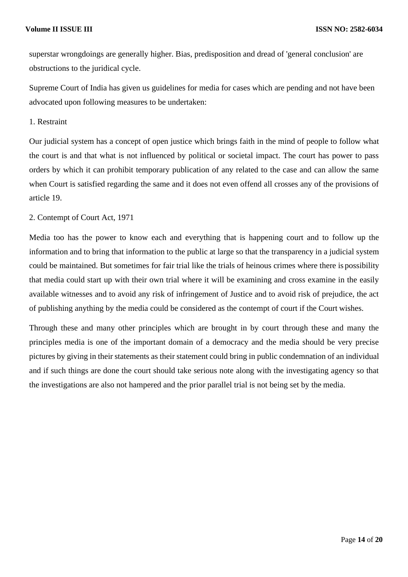superstar wrongdoings are generally higher. Bias, predisposition and dread of 'general conclusion' are obstructions to the juridical cycle.

Supreme Court of India has given us guidelines for media for cases which are pending and not have been advocated upon following measures to be undertaken:

1. Restraint

Our judicial system has a concept of open justice which brings faith in the mind of people to follow what the court is and that what is not influenced by political or societal impact. The court has power to pass orders by which it can prohibit temporary publication of any related to the case and can allow the same when Court is satisfied regarding the same and it does not even offend all crosses any of the provisions of article 19.

#### 2. Contempt of Court Act, 1971

Media too has the power to know each and everything that is happening court and to follow up the information and to bring that information to the public at large so that the transparency in a judicial system could be maintained. But sometimes for fair trial like the trials of heinous crimes where there is possibility that media could start up with their own trial where it will be examining and cross examine in the easily available witnesses and to avoid any risk of infringement of Justice and to avoid risk of prejudice, the act of publishing anything by the media could be considered as the contempt of court if the Court wishes.

Through these and many other principles which are brought in by court through these and many the principles media is one of the important domain of a democracy and the media should be very precise pictures by giving in their statements as their statement could bring in public condemnation of an individual and if such things are done the court should take serious note along with the investigating agency so that the investigations are also not hampered and the prior parallel trial is not being set by the media.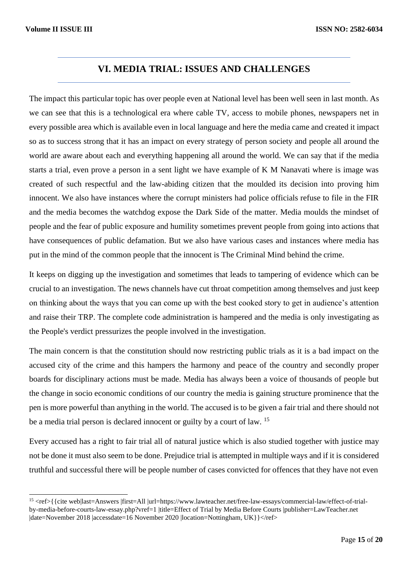### **VI. MEDIA TRIAL: ISSUES AND CHALLENGES**

The impact this particular topic has over people even at National level has been well seen in last month. As we can see that this is a technological era where cable TV, access to mobile phones, newspapers net in every possible area which is available even in local language and here the media came and created it impact so as to success strong that it has an impact on every strategy of person society and people all around the world are aware about each and everything happening all around the world. We can say that if the media starts a trial, even prove a person in a sent light we have example of K M Nanavati where is image was created of such respectful and the law-abiding citizen that the moulded its decision into proving him innocent. We also have instances where the corrupt ministers had police officials refuse to file in the FIR and the media becomes the watchdog expose the Dark Side of the matter. Media moulds the mindset of people and the fear of public exposure and humility sometimes prevent people from going into actions that have consequences of public defamation. But we also have various cases and instances where media has put in the mind of the common people that the innocent is The Criminal Mind behind the crime.

It keeps on digging up the investigation and sometimes that leads to tampering of evidence which can be crucial to an investigation. The news channels have cut throat competition among themselves and just keep on thinking about the ways that you can come up with the best cooked story to get in audience's attention and raise their TRP. The complete code administration is hampered and the media is only investigating as the People's verdict pressurizes the people involved in the investigation.

The main concern is that the constitution should now restricting public trials as it is a bad impact on the accused city of the crime and this hampers the harmony and peace of the country and secondly proper boards for disciplinary actions must be made. Media has always been a voice of thousands of people but the change in socio economic conditions of our country the media is gaining structure prominence that the pen is more powerful than anything in the world. The accused is to be given a fair trial and there should not be a media trial person is declared innocent or guilty by a court of law. <sup>15</sup>

Every accused has a right to fair trial all of natural justice which is also studied together with justice may not be done it must also seem to be done. Prejudice trial is attempted in multiple ways and if it is considered truthful and successful there will be people number of cases convicted for offences that they have not even

<sup>&</sup>lt;sup>15</sup> <ref>{{cite web|last=Answers |first=All |url=https:/[/www.lawteacher.net/free-law-essays/commercial-law/effect-of-trial](http://www.lawteacher.net/free-law-essays/commercial-law/effect-of-trial-)by-media-before-courts-law-essay.php?vref=1 |title=Effect of Trial by Media Before Courts |publisher=LawTeacher.net |date=November 2018 |accessdate=16 November 2020 |location=Nottingham, UK}}</ref>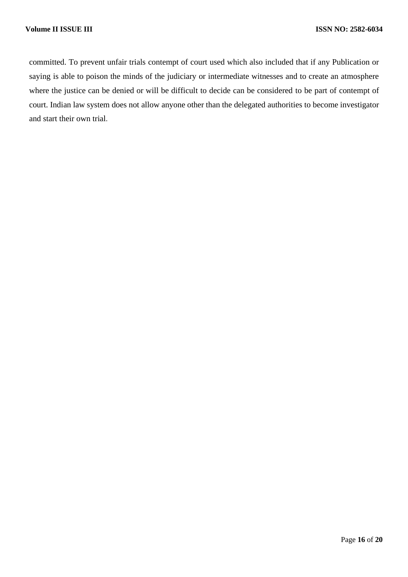committed. To prevent unfair trials contempt of court used which also included that if any Publication or saying is able to poison the minds of the judiciary or intermediate witnesses and to create an atmosphere where the justice can be denied or will be difficult to decide can be considered to be part of contempt of court. Indian law system does not allow anyone other than the delegated authorities to become investigator and start their own trial.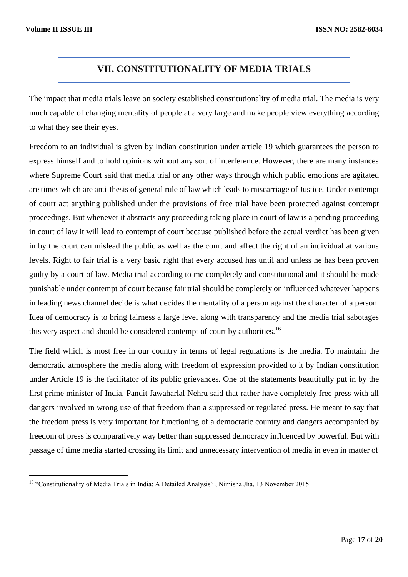# **VII. CONSTITUTIONALITY OF MEDIA TRIALS**

The impact that media trials leave on society established constitutionality of media trial. The media is very much capable of changing mentality of people at a very large and make people view everything according to what they see their eyes.

Freedom to an individual is given by Indian constitution under article 19 which guarantees the person to express himself and to hold opinions without any sort of interference. However, there are many instances where Supreme Court said that media trial or any other ways through which public emotions are agitated are times which are anti-thesis of general rule of law which leads to miscarriage of Justice. Under contempt of court act anything published under the provisions of free trial have been protected against contempt proceedings. But whenever it abstracts any proceeding taking place in court of law is a pending proceeding in court of law it will lead to contempt of court because published before the actual verdict has been given in by the court can mislead the public as well as the court and affect the right of an individual at various levels. Right to fair trial is a very basic right that every accused has until and unless he has been proven guilty by a court of law. Media trial according to me completely and constitutional and it should be made punishable under contempt of court because fair trial should be completely on influenced whatever happens in leading news channel decide is what decides the mentality of a person against the character of a person. Idea of democracy is to bring fairness a large level along with transparency and the media trial sabotages this very aspect and should be considered contempt of court by authorities.<sup>16</sup>

The field which is most free in our country in terms of legal regulations is the media. To maintain the democratic atmosphere the media along with freedom of expression provided to it by Indian constitution under Article 19 is the facilitator of its public grievances. One of the statements beautifully put in by the first prime minister of India, Pandit Jawaharlal Nehru said that rather have completely free press with all dangers involved in wrong use of that freedom than a suppressed or regulated press. He meant to say that the freedom press is very important for functioning of a democratic country and dangers accompanied by freedom of press is comparatively way better than suppressed democracy influenced by powerful. But with passage of time media started crossing its limit and unnecessary intervention of media in even in matter of

<sup>16</sup> "Constitutionality of Media Trials in India: A Detailed Analysis" , Nimisha Jha, 13 November 2015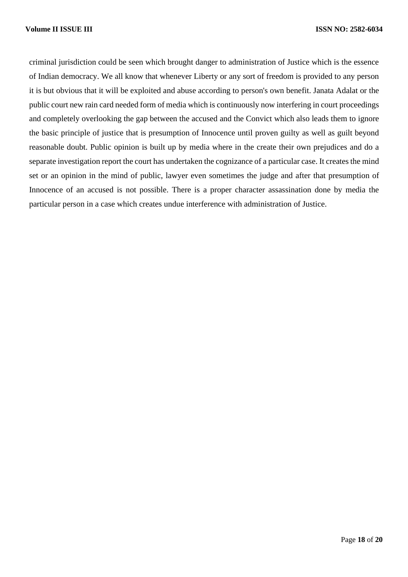criminal jurisdiction could be seen which brought danger to administration of Justice which is the essence of Indian democracy. We all know that whenever Liberty or any sort of freedom is provided to any person it is but obvious that it will be exploited and abuse according to person's own benefit. Janata Adalat or the public court new rain card needed form of media which is continuously now interfering in court proceedings and completely overlooking the gap between the accused and the Convict which also leads them to ignore the basic principle of justice that is presumption of Innocence until proven guilty as well as guilt beyond reasonable doubt. Public opinion is built up by media where in the create their own prejudices and do a separate investigation report the court has undertaken the cognizance of a particular case. It creates the mind set or an opinion in the mind of public, lawyer even sometimes the judge and after that presumption of Innocence of an accused is not possible. There is a proper character assassination done by media the particular person in a case which creates undue interference with administration of Justice.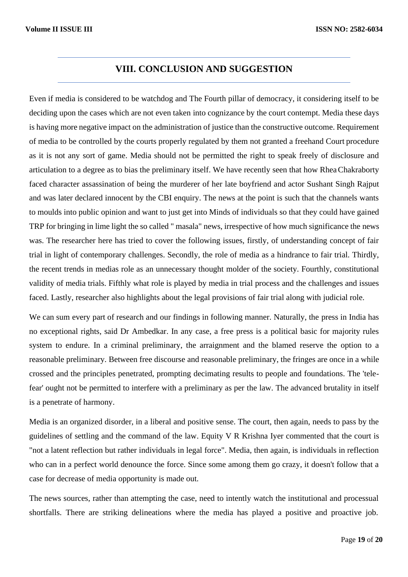### **VIII. CONCLUSION AND SUGGESTION**

Even if media is considered to be watchdog and The Fourth pillar of democracy, it considering itself to be deciding upon the cases which are not even taken into cognizance by the court contempt. Media these days is having more negative impact on the administration of justice than the constructive outcome. Requirement of media to be controlled by the courts properly regulated by them not granted a freehand Court procedure as it is not any sort of game. Media should not be permitted the right to speak freely of disclosure and articulation to a degree as to bias the preliminary itself. We have recently seen that how RheaChakraborty faced character assassination of being the murderer of her late boyfriend and actor Sushant Singh Rajput and was later declared innocent by the CBI enquiry. The news at the point is such that the channels wants to moulds into public opinion and want to just get into Minds of individuals so that they could have gained TRP for bringing in lime light the so called " masala" news, irrespective of how much significance the news was. The researcher here has tried to cover the following issues, firstly, of understanding concept of fair trial in light of contemporary challenges. Secondly, the role of media as a hindrance to fair trial. Thirdly, the recent trends in medias role as an unnecessary thought molder of the society. Fourthly, constitutional validity of media trials. Fifthly what role is played by media in trial process and the challenges and issues faced. Lastly, researcher also highlights about the legal provisions of fair trial along with judicial role.

We can sum every part of research and our findings in following manner. Naturally, the press in India has no exceptional rights, said Dr Ambedkar. In any case, a free press is a political basic for majority rules system to endure. In a criminal preliminary, the arraignment and the blamed reserve the option to a reasonable preliminary. Between free discourse and reasonable preliminary, the fringes are once in a while crossed and the principles penetrated, prompting decimating results to people and foundations. The 'telefear' ought not be permitted to interfere with a preliminary as per the law. The advanced brutality in itself is a penetrate of harmony.

Media is an organized disorder, in a liberal and positive sense. The court, then again, needs to pass by the guidelines of settling and the command of the law. Equity V R Krishna Iyer commented that the court is "not a latent reflection but rather individuals in legal force". Media, then again, is individuals in reflection who can in a perfect world denounce the force. Since some among them go crazy, it doesn't follow that a case for decrease of media opportunity is made out.

The news sources, rather than attempting the case, need to intently watch the institutional and processual shortfalls. There are striking delineations where the media has played a positive and proactive job.